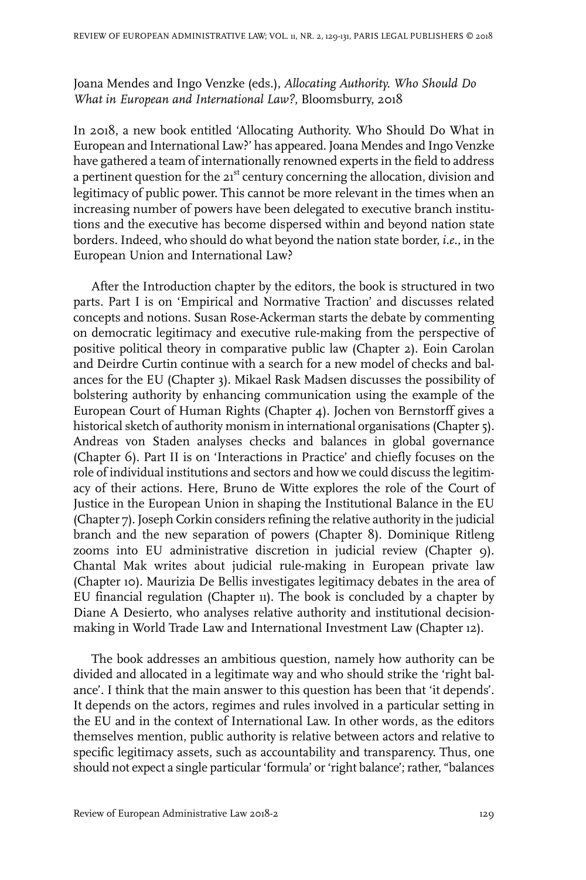## Joana Mendes and Ingo Venzke (eds.), *Allocating Authority. Who Should Do What in European and International Law?*, Bloomsburry, 2018

In 2018, a new book entitled 'Allocating Authority. Who Should Do What in European and International Law?' has appeared. Joana Mendes and Ingo Venzke have gathered a team of internationally renowned experts in the field to address a pertinent question for the 21<sup>st</sup> century concerning the allocation, division and legitimacy of public power. This cannot be more relevant in the times when an increasing number of powers have been delegated to executive branch institutions and the executive has become dispersed within and beyond nation state borders. Indeed, who should do what beyond the nation state border, *i.e*., in the European Union and International Law?

After the Introduction chapter by the editors, the book is structured in two parts. Part I is on 'Empirical and Normative Traction' and discusses related concepts and notions. Susan Rose-Ackerman starts the debate by commenting on democratic legitimacy and executive rule-making from the perspective of positive political theory in comparative public law (Chapter 2). Eoin Carolan and Deirdre Curtin continue with a search for a new model of checks and balances for the EU (Chapter 3). Mikael Rask Madsen discusses the possibility of bolstering authority by enhancing communication using the example of the European Court of Human Rights (Chapter 4). Jochen von Bernstorff gives a historical sketch of authority monism in international organisations (Chapter 5). Andreas von Staden analyses checks and balances in global governance (Chapter 6). Part II is on 'Interactions in Practice' and chiefly focuses on the role of individual institutions and sectors and how we could discuss the legitimacy of their actions. Here, Bruno de Witte explores the role of the Court of Justice in the European Union in shaping the Institutional Balance in the EU (Chapter 7). Joseph Corkin considers refining the relative authority in the judicial branch and the new separation of powers (Chapter 8). Dominique Ritleng zooms into EU administrative discretion in judicial review (Chapter 9). Chantal Mak writes about judicial rule-making in European private law (Chapter 10). Maurizia De Bellis investigates legitimacy debates in the area of EU financial regulation (Chapter 11). The book is concluded by a chapter by Diane A Desierto, who analyses relative authority and institutional decisionmaking in World Trade Law and International Investment Law (Chapter 12).

The book addresses an ambitious question, namely how authority can be divided and allocated in a legitimate way and who should strike the 'right balance'. I think that the main answer to this question has been that 'it depends'. It depends on the actors, regimes and rules involved in a particular setting in the EU and in the context of International Law. In other words, as the editors themselves mention, public authority is relative between actors and relative to specific legitimacy assets, such as accountability and transparency. Thus, one should not expect a single particular 'formula' or 'right balance'; rather, "balances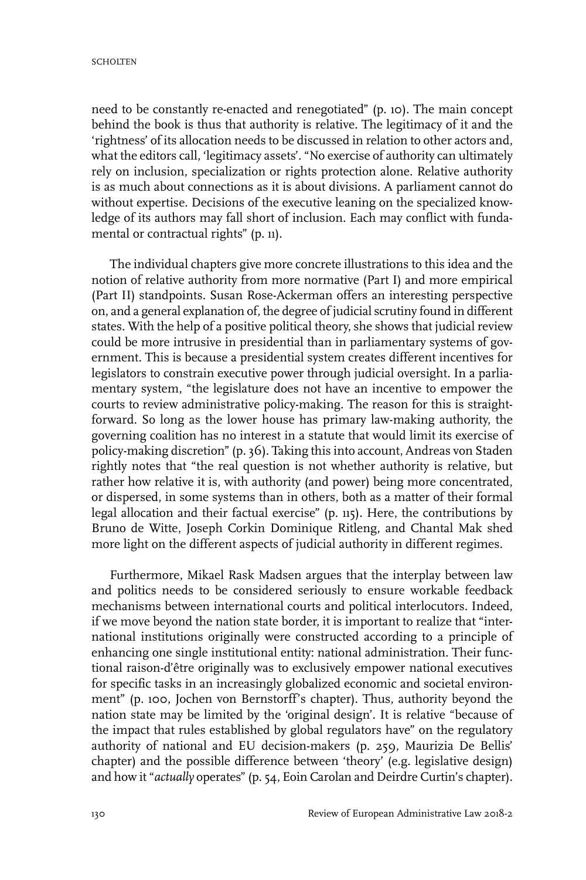need to be constantly re-enacted and renegotiated" (p. 10). The main concept behind the book is thus that authority is relative. The legitimacy of it and the 'rightness' of its allocation needs to be discussed in relation to other actors and, what the editors call, 'legitimacy assets'. "No exercise of authority can ultimately rely on inclusion, specialization or rights protection alone. Relative authority is as much about connections as it is about divisions. A parliament cannot do without expertise. Decisions of the executive leaning on the specialized knowledge of its authors may fall short of inclusion. Each may conflict with fundamental or contractual rights" (p. 11).

The individual chapters give more concrete illustrations to this idea and the notion of relative authority from more normative (Part I) and more empirical (Part II) standpoints. Susan Rose-Ackerman offers an interesting perspective on, and a general explanation of, the degree of judicial scrutiny found in different states. With the help of a positive political theory, she shows that judicial review could be more intrusive in presidential than in parliamentary systems of government. This is because a presidential system creates different incentives for legislators to constrain executive power through judicial oversight. In a parliamentary system, "the legislature does not have an incentive to empower the courts to review administrative policy-making. The reason for this is straightforward. So long as the lower house has primary law-making authority, the governing coalition has no interest in a statute that would limit its exercise of policy-making discretion" (p. 36). Taking this into account, Andreas von Staden rightly notes that "the real question is not whether authority is relative, but rather how relative it is, with authority (and power) being more concentrated, or dispersed, in some systems than in others, both as a matter of their formal legal allocation and their factual exercise" (p. 115). Here, the contributions by Bruno de Witte, Joseph Corkin Dominique Ritleng, and Chantal Mak shed more light on the different aspects of judicial authority in different regimes.

Furthermore, Mikael Rask Madsen argues that the interplay between law and politics needs to be considered seriously to ensure workable feedback mechanisms between international courts and political interlocutors. Indeed, if we move beyond the nation state border, it is important to realize that "international institutions originally were constructed according to a principle of enhancing one single institutional entity: national administration. Their functional raison-d'être originally was to exclusively empower national executives for specific tasks in an increasingly globalized economic and societal environment" (p. 100, Jochen von Bernstorff's chapter). Thus, authority beyond the nation state may be limited by the 'original design'. It is relative "because of the impact that rules established by global regulators have" on the regulatory authority of national and EU decision-makers (p. 259, Maurizia De Bellis' chapter) and the possible difference between 'theory' (e.g. legislative design) and how it "*actually* operates" (p. 54, Eoin Carolan and Deirdre Curtin's chapter).